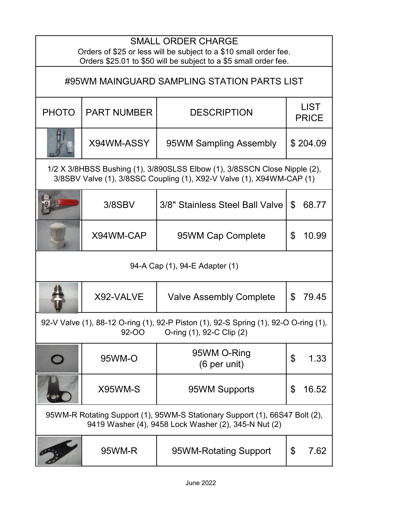| <b>SMALL ORDER CHARGE</b><br>Orders of \$25 or less will be subject to a \$10 small order fee.<br>Orders \$25.01 to \$50 will be subject to a \$5 small order fee. |                    |                                 |                             |  |  |
|--------------------------------------------------------------------------------------------------------------------------------------------------------------------|--------------------|---------------------------------|-----------------------------|--|--|
| #95WM MAINGUARD SAMPLING STATION PARTS LIST                                                                                                                        |                    |                                 |                             |  |  |
| <b>PHOTO</b>                                                                                                                                                       | <b>PART NUMBER</b> | <b>DESCRIPTION</b>              | <b>LIST</b><br><b>PRICE</b> |  |  |
|                                                                                                                                                                    | X94WM-ASSY         | 95WM Sampling Assembly          | \$204.09                    |  |  |
| 1/2 X 3/8HBSS Bushing (1), 3/890SLSS Elbow (1), 3/8SSCN Close Nipple (2),<br>3/8SBV Valve (1), 3/8SSC Coupling (1), X92-V Valve (1), X94WM-CAP (1)                 |                    |                                 |                             |  |  |
|                                                                                                                                                                    | $3/8$ SBV          | 3/8" Stainless Steel Ball Valve | 68.77<br>\$                 |  |  |
|                                                                                                                                                                    | X94WM-CAP          | 95WM Cap Complete               | \$<br>10.99                 |  |  |
| 94-A Cap (1), 94-E Adapter (1)                                                                                                                                     |                    |                                 |                             |  |  |
|                                                                                                                                                                    | X92-VALVE          | <b>Valve Assembly Complete</b>  | \$<br>79.45                 |  |  |
| 92-V Valve (1), 88-12 O-ring (1), 92-P Piston (1), 92-S Spring (1), 92-O O-ring (1),<br><b>92-OO</b><br>O-ring (1), 92-C Clip (2)                                  |                    |                                 |                             |  |  |
|                                                                                                                                                                    | 95WM-O             | 95WM O-Ring<br>(6 per unit)     | \$<br>1.33                  |  |  |
|                                                                                                                                                                    | X95WM-S            | 95WM Supports                   | \$<br>16.52                 |  |  |
| 95WM-R Rotating Support (1), 95WM-S Stationary Support (1), 66S47 Bolt (2),<br>9419 Washer (4), 9458 Lock Washer (2), 345-N Nut (2)                                |                    |                                 |                             |  |  |
|                                                                                                                                                                    | 95WM-R             | 95WM-Rotating Support           | \$<br>7.62                  |  |  |